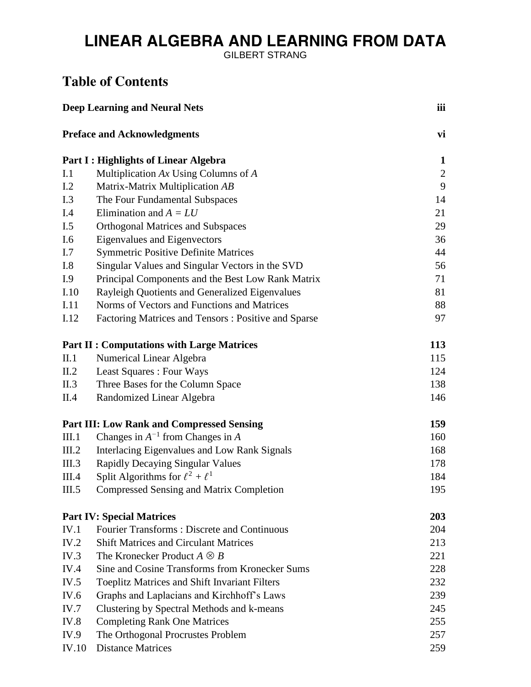## LINEAR ALGEBRA AND LEARNING FROM DATA

GILBERT STRANG

## **Table of Contents**

| <b>Deep Learning and Neural Nets</b>        |                                                      | iii            |
|---------------------------------------------|------------------------------------------------------|----------------|
|                                             | <b>Preface and Acknowledgments</b>                   | vi             |
| <b>Part I: Highlights of Linear Algebra</b> |                                                      | $\mathbf{1}$   |
| I.1                                         | Multiplication $Ax$ Using Columns of $A$             | $\overline{2}$ |
| I.2                                         | Matrix-Matrix Multiplication AB                      | 9              |
| I.3                                         | The Four Fundamental Subspaces                       | 14             |
| I.4                                         | Elimination and $A = LU$                             | 21             |
| I.5                                         | <b>Orthogonal Matrices and Subspaces</b>             | 29             |
| I.6                                         | <b>Eigenvalues and Eigenvectors</b>                  | 36             |
| I.7                                         | <b>Symmetric Positive Definite Matrices</b>          | 44             |
| I.8                                         | Singular Values and Singular Vectors in the SVD      | 56             |
| I.9                                         | Principal Components and the Best Low Rank Matrix    | 71             |
| I.10                                        | Rayleigh Quotients and Generalized Eigenvalues       | 81             |
| I.11                                        | Norms of Vectors and Functions and Matrices          | 88             |
| I.12                                        | Factoring Matrices and Tensors: Positive and Sparse  | 97             |
|                                             | <b>Part II : Computations with Large Matrices</b>    | 113            |
| II.1                                        | Numerical Linear Algebra                             | 115            |
| II.2                                        | Least Squares : Four Ways                            | 124            |
| II.3                                        | Three Bases for the Column Space                     | 138            |
| II.4                                        | Randomized Linear Algebra                            | 146            |
|                                             | <b>Part III: Low Rank and Compressed Sensing</b>     | 159            |
| III.1                                       | Changes in $A^{-1}$ from Changes in A                | 160            |
| III.2                                       | Interlacing Eigenvalues and Low Rank Signals         | 168            |
| III.3                                       | <b>Rapidly Decaying Singular Values</b>              | 178            |
| III.4                                       | Split Algorithms for $\ell^2 + \ell^1$               | 184            |
| III.5                                       | <b>Compressed Sensing and Matrix Completion</b>      | 195            |
|                                             | <b>Part IV: Special Matrices</b>                     | 203            |
| IV.1                                        | <b>Fourier Transforms: Discrete and Continuous</b>   | 204            |
| IV.2                                        | <b>Shift Matrices and Circulant Matrices</b>         | 213            |
| IV.3                                        | The Kronecker Product $A \otimes B$                  | 221            |
| IV.4                                        | Sine and Cosine Transforms from Kronecker Sums       | 228            |
| IV.5                                        | <b>Toeplitz Matrices and Shift Invariant Filters</b> | 232            |
| IV.6                                        | Graphs and Laplacians and Kirchhoff's Laws           | 239            |
| IV.7                                        | Clustering by Spectral Methods and k-means           | 245            |
| IV.8                                        | <b>Completing Rank One Matrices</b>                  | 255            |
| IV.9                                        | The Orthogonal Procrustes Problem                    | 257            |
| IV.10                                       | <b>Distance Matrices</b>                             | 259            |